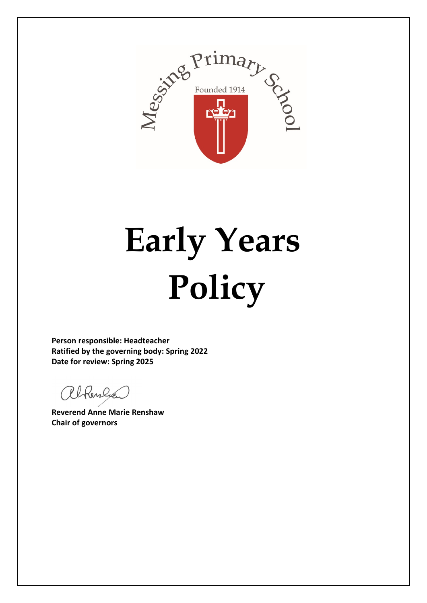

# **Early Years Policy**

**Person responsible: Headteacher Ratified by the governing body: Spring 2022 Date for review: Spring 2025**

Rhenlier

**Reverend Anne Marie Renshaw Chair of governors**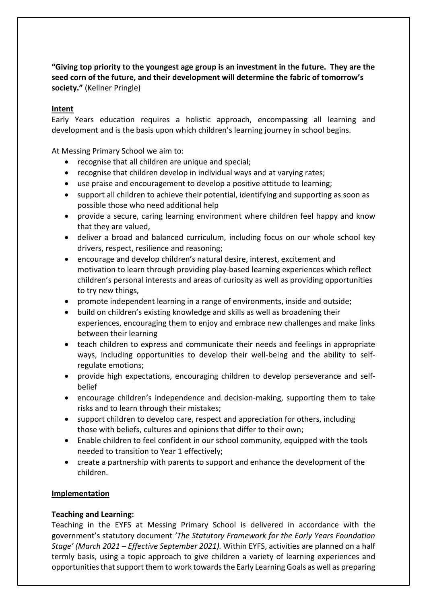**"Giving top priority to the youngest age group is an investment in the future. They are the seed corn of the future, and their development will determine the fabric of tomorrow's society."** (Kellner Pringle)

# **Intent**

Early Years education requires a holistic approach, encompassing all learning and development and is the basis upon which children's learning journey in school begins.

At Messing Primary School we aim to:

- recognise that all children are unique and special;
- recognise that children develop in individual ways and at varying rates;
- use praise and encouragement to develop a positive attitude to learning;
- support all children to achieve their potential, identifying and supporting as soon as possible those who need additional help
- provide a secure, caring learning environment where children feel happy and know that they are valued,
- deliver a broad and balanced curriculum, including focus on our whole school key drivers, respect, resilience and reasoning;
- encourage and develop children's natural desire, interest, excitement and motivation to learn through providing play-based learning experiences which reflect children's personal interests and areas of curiosity as well as providing opportunities to try new things,
- promote independent learning in a range of environments, inside and outside;
- build on children's existing knowledge and skills as well as broadening their experiences, encouraging them to enjoy and embrace new challenges and make links between their learning
- teach children to express and communicate their needs and feelings in appropriate ways, including opportunities to develop their well-being and the ability to selfregulate emotions;
- provide high expectations, encouraging children to develop perseverance and selfbelief
- encourage children's independence and decision-making, supporting them to take risks and to learn through their mistakes;
- support children to develop care, respect and appreciation for others, including those with beliefs, cultures and opinions that differ to their own;
- Enable children to feel confident in our school community, equipped with the tools needed to transition to Year 1 effectively;
- create a partnership with parents to support and enhance the development of the children.

# **Implementation**

# **Teaching and Learning:**

Teaching in the EYFS at Messing Primary School is delivered in accordance with the government's statutory document *'The Statutory Framework for the Early Years Foundation Stage' (March 2021 – Effective September 2021).* Within EYFS, activities are planned on a half termly basis, using a topic approach to give children a variety of learning experiences and opportunities that support them to work towards the Early Learning Goals as well as preparing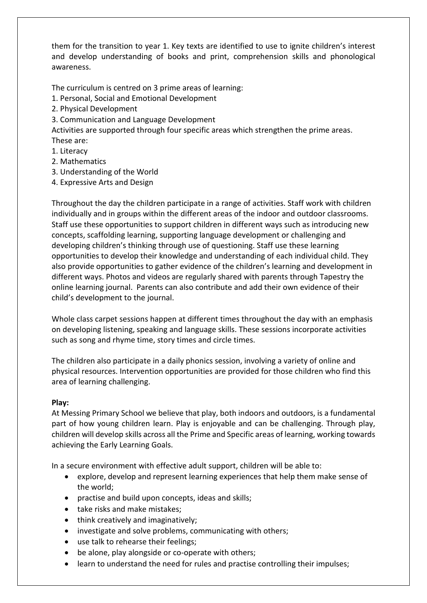them for the transition to year 1. Key texts are identified to use to ignite children's interest and develop understanding of books and print, comprehension skills and phonological awareness.

The curriculum is centred on 3 prime areas of learning:

- 1. Personal, Social and Emotional Development
- 2. Physical Development
- 3. Communication and Language Development

Activities are supported through four specific areas which strengthen the prime areas. These are:

1. Literacy

- 2. Mathematics
- 3. Understanding of the World
- 4. Expressive Arts and Design

Throughout the day the children participate in a range of activities. Staff work with children individually and in groups within the different areas of the indoor and outdoor classrooms. Staff use these opportunities to support children in different ways such as introducing new concepts, scaffolding learning, supporting language development or challenging and developing children's thinking through use of questioning. Staff use these learning opportunities to develop their knowledge and understanding of each individual child. They also provide opportunities to gather evidence of the children's learning and development in different ways. Photos and videos are regularly shared with parents through Tapestry the online learning journal. Parents can also contribute and add their own evidence of their child's development to the journal.

Whole class carpet sessions happen at different times throughout the day with an emphasis on developing listening, speaking and language skills. These sessions incorporate activities such as song and rhyme time, story times and circle times.

The children also participate in a daily phonics session, involving a variety of online and physical resources. Intervention opportunities are provided for those children who find this area of learning challenging.

# **Play:**

At Messing Primary School we believe that play, both indoors and outdoors, is a fundamental part of how young children learn. Play is enjoyable and can be challenging. Through play, children will develop skills across all the Prime and Specific areas of learning, working towards achieving the Early Learning Goals.

In a secure environment with effective adult support, children will be able to:

- explore, develop and represent learning experiences that help them make sense of the world;
- practise and build upon concepts, ideas and skills;
- take risks and make mistakes;
- think creatively and imaginatively;
- investigate and solve problems, communicating with others;
- use talk to rehearse their feelings;
- be alone, play alongside or co-operate with others;
- learn to understand the need for rules and practise controlling their impulses;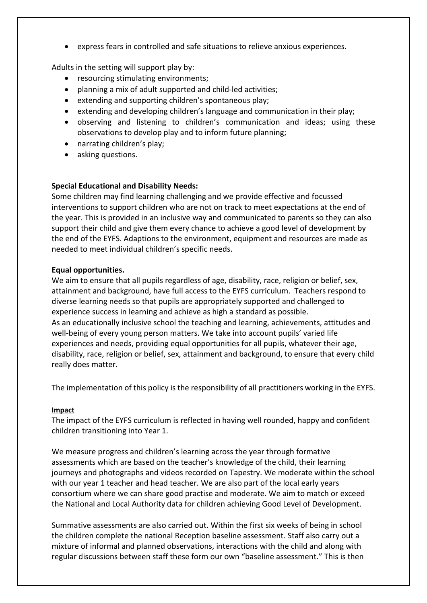• express fears in controlled and safe situations to relieve anxious experiences.

Adults in the setting will support play by:

- resourcing stimulating environments;
- planning a mix of adult supported and child-led activities;
- extending and supporting children's spontaneous play;
- extending and developing children's language and communication in their play;
- observing and listening to children's communication and ideas; using these observations to develop play and to inform future planning;
- narrating children's play;
- asking questions.

# **Special Educational and Disability Needs:**

Some children may find learning challenging and we provide effective and focussed interventions to support children who are not on track to meet expectations at the end of the year. This is provided in an inclusive way and communicated to parents so they can also support their child and give them every chance to achieve a good level of development by the end of the EYFS. Adaptions to the environment, equipment and resources are made as needed to meet individual children's specific needs.

# **Equal opportunities.**

We aim to ensure that all pupils regardless of age, disability, race, religion or belief, sex, attainment and background, have full access to the EYFS curriculum. Teachers respond to diverse learning needs so that pupils are appropriately supported and challenged to experience success in learning and achieve as high a standard as possible. As an educationally inclusive school the teaching and learning, achievements, attitudes and well-being of every young person matters. We take into account pupils' varied life experiences and needs, providing equal opportunities for all pupils, whatever their age, disability, race, religion or belief, sex, attainment and background, to ensure that every child really does matter.

The implementation of this policy is the responsibility of all practitioners working in the EYFS.

# **Impact**

The impact of the EYFS curriculum is reflected in having well rounded, happy and confident children transitioning into Year 1.

We measure progress and children's learning across the year through formative assessments which are based on the teacher's knowledge of the child, their learning journeys and photographs and videos recorded on Tapestry. We moderate within the school with our year 1 teacher and head teacher. We are also part of the local early years consortium where we can share good practise and moderate. We aim to match or exceed the National and Local Authority data for children achieving Good Level of Development.

Summative assessments are also carried out. Within the first six weeks of being in school the children complete the national Reception baseline assessment. Staff also carry out a mixture of informal and planned observations, interactions with the child and along with regular discussions between staff these form our own "baseline assessment." This is then